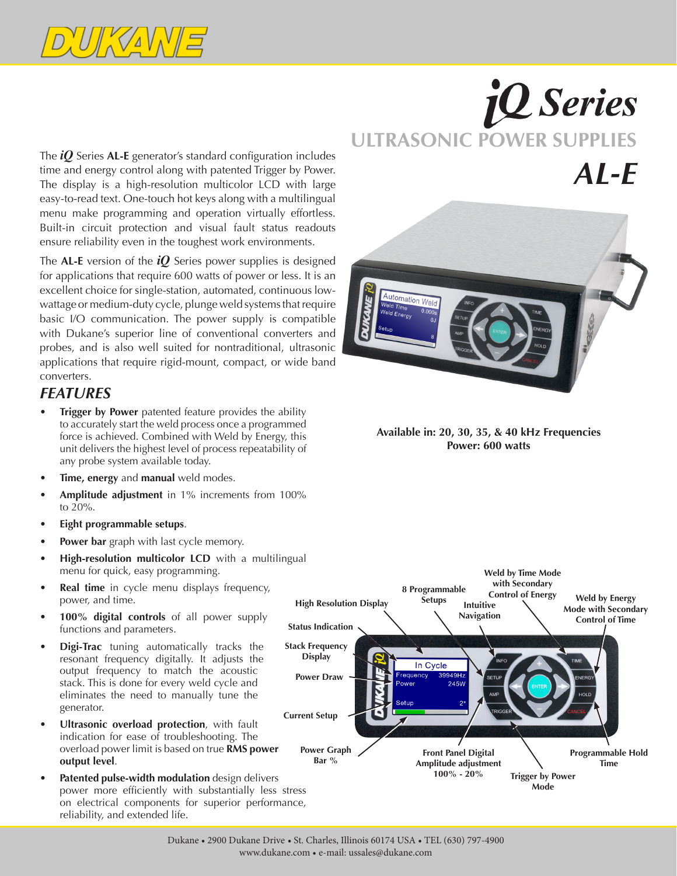

The *iQ* Series **AL-E** generator's standard configuration includes time and energy control along with patented Trigger by Power. The display is a high-resolution multicolor LCD with large easy-to-read text. One-touch hot keys along with a multilingual menu make programming and operation virtually effortless. Built-in circuit protection and visual fault status readouts ensure reliability even in the toughest work environments.

The **AL-E** version of the *iQ* Series power supplies is designed for applications that require 600 watts of power or less. It is an excellent choice for single-station, automated, continuous lowwattage or medium-duty cycle, plunge weld systems that require basic I/O communication. The power supply is compatible with Dukane's superior line of conventional converters and probes, and is also well suited for nontraditional, ultrasonic applications that require rigid-mount, compact, or wide band converters.

## *FEATURES*

- **Trigger by Power** patented feature provides the ability to accurately start the weld process once a programmed force is achieved. Combined with Weld by Energy, this unit delivers the highest level of process repeatability of any probe system available today.
- **Time, energy** and **manual** weld modes.
- Amplitude adjustment in 1% increments from 100% to 20%.
- **Eight programmable setups.**
- **Power bar** graph with last cycle memory.
- **High-resolution multicolor LCD** with a multilingual menu for quick, easy programming.
- **Real time** in cycle menu displays frequency, power, and time.
- 100% digital controls of all power supply functions and parameters.
- **Digi-Trac** tuning automatically tracks the resonant frequency digitally. It adjusts the output frequency to match the acoustic stack. This is done for every weld cycle and eliminates the need to manually tune the generator.
- **• Ultrasonic overload protection**, with fault indication for ease of troubleshooting. The overload power limit is based on true **RMS power output level**.
- **• Patented pulse-width modulation** design delivers power more efficiently with substantially less stress on electrical components for superior performance, reliability, and extended life.

# *iQ* Series **ULTRASONIC POWER SUPPLIES** *AL-E*



**Available in: 20, 30, 35, & 40 kHz Frequencies Power: 600 watts**